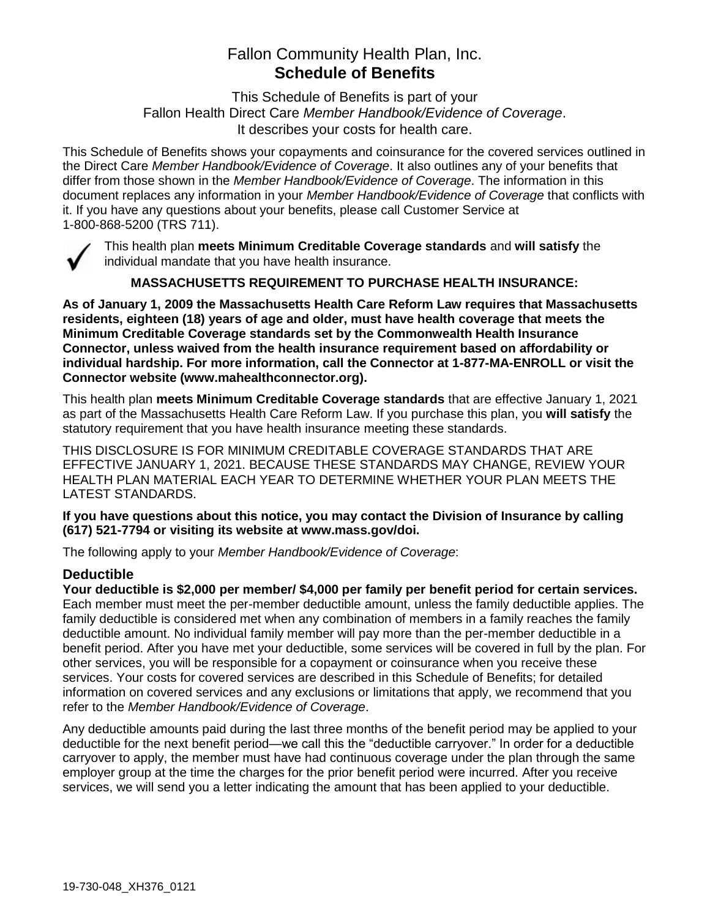# Fallon Community Health Plan, Inc. **Schedule of Benefits**

This Schedule of Benefits is part of your Fallon Health Direct Care *Member Handbook/Evidence of Coverage*. It describes your costs for health care.

This Schedule of Benefits shows your copayments and coinsurance for the covered services outlined in the Direct Care *Member Handbook/Evidence of Coverage*. It also outlines any of your benefits that differ from those shown in the *Member Handbook/Evidence of Coverage*. The information in this document replaces any information in your *Member Handbook/Evidence of Coverage* that conflicts with it. If you have any questions about your benefits, please call Customer Service at 1-800-868-5200 (TRS 711).



This health plan **meets Minimum Creditable Coverage standards** and **will satisfy** the individual mandate that you have health insurance.

**MASSACHUSETTS REQUIREMENT TO PURCHASE HEALTH INSURANCE:**

**As of January 1, 2009 the Massachusetts Health Care Reform Law requires that Massachusetts residents, eighteen (18) years of age and older, must have health coverage that meets the Minimum Creditable Coverage standards set by the Commonwealth Health Insurance Connector, unless waived from the health insurance requirement based on affordability or individual hardship. For more information, call the Connector at 1-877-MA-ENROLL or visit the Connector website (www.mahealthconnector.org).**

This health plan **meets Minimum Creditable Coverage standards** that are effective January 1, 2021 as part of the Massachusetts Health Care Reform Law. If you purchase this plan, you **will satisfy** the statutory requirement that you have health insurance meeting these standards.

THIS DISCLOSURE IS FOR MINIMUM CREDITABLE COVERAGE STANDARDS THAT ARE EFFECTIVE JANUARY 1, 2021. BECAUSE THESE STANDARDS MAY CHANGE, REVIEW YOUR HEALTH PLAN MATERIAL EACH YEAR TO DETERMINE WHETHER YOUR PLAN MEETS THE LATEST STANDARDS.

**If you have questions about this notice, you may contact the Division of Insurance by calling (617) 521-7794 or visiting its website at www.mass.gov/doi.** 

The following apply to your *Member Handbook/Evidence of Coverage*:

# **Deductible**

**Your deductible is \$2,000 per member/ \$4,000 per family per benefit period for certain services.** Each member must meet the per-member deductible amount, unless the family deductible applies. The family deductible is considered met when any combination of members in a family reaches the family deductible amount. No individual family member will pay more than the per-member deductible in a benefit period. After you have met your deductible, some services will be covered in full by the plan. For other services, you will be responsible for a copayment or coinsurance when you receive these services. Your costs for covered services are described in this Schedule of Benefits; for detailed information on covered services and any exclusions or limitations that apply, we recommend that you refer to the *Member Handbook/Evidence of Coverage*.

Any deductible amounts paid during the last three months of the benefit period may be applied to your deductible for the next benefit period—we call this the "deductible carryover." In order for a deductible carryover to apply, the member must have had continuous coverage under the plan through the same employer group at the time the charges for the prior benefit period were incurred. After you receive services, we will send you a letter indicating the amount that has been applied to your deductible.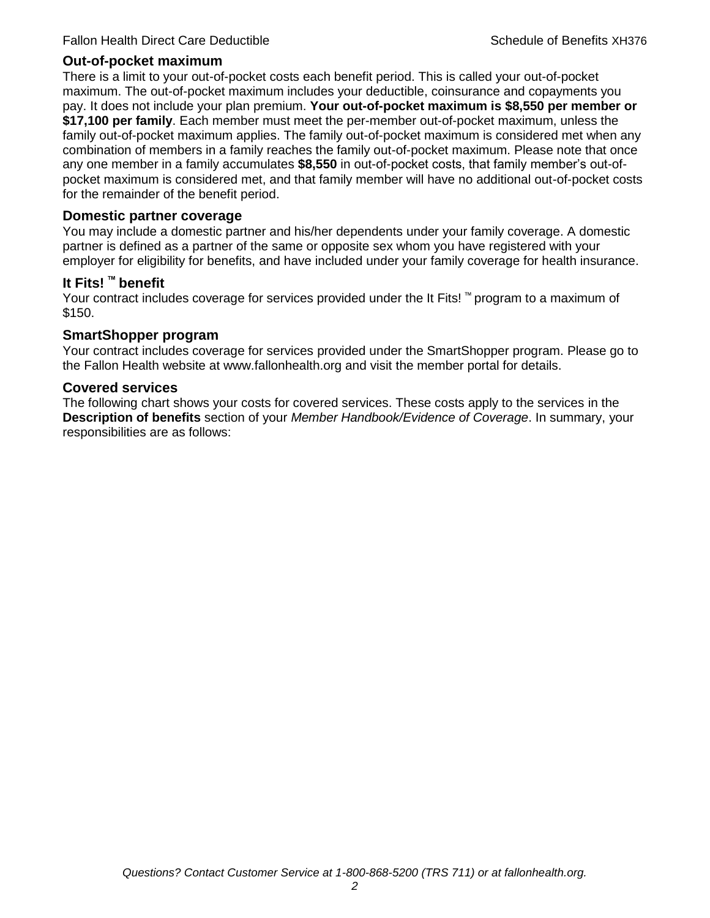# **Out-of-pocket maximum**

There is a limit to your out-of-pocket costs each benefit period. This is called your out-of-pocket maximum. The out-of-pocket maximum includes your deductible, coinsurance and copayments you pay. It does not include your plan premium. **Your out-of-pocket maximum is \$8,550 per member or \$17,100 per family**. Each member must meet the per-member out-of-pocket maximum, unless the family out-of-pocket maximum applies. The family out-of-pocket maximum is considered met when any combination of members in a family reaches the family out-of-pocket maximum. Please note that once any one member in a family accumulates **\$8,550** in out-of-pocket costs, that family member's out-ofpocket maximum is considered met, and that family member will have no additional out-of-pocket costs for the remainder of the benefit period.

## **Domestic partner coverage**

You may include a domestic partner and his/her dependents under your family coverage. A domestic partner is defined as a partner of the same or opposite sex whom you have registered with your employer for eligibility for benefits, and have included under your family coverage for health insurance.

## **It Fits! ™ benefit**

Your contract includes coverage for services provided under the It Fits! ™ program to a maximum of \$150.

## **SmartShopper program**

Your contract includes coverage for services provided under the SmartShopper program. Please go to the Fallon Health website at www.fallonhealth.org and visit the member portal for details.

#### **Covered services**

The following chart shows your costs for covered services. These costs apply to the services in the **Description of benefits** section of your *Member Handbook/Evidence of Coverage*. In summary, your responsibilities are as follows: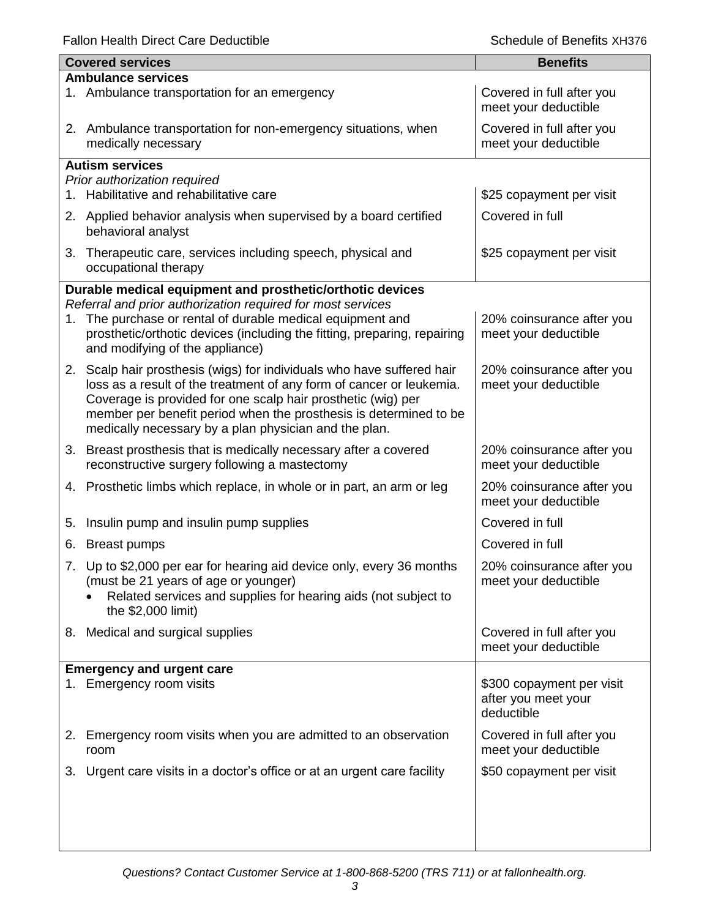Fallon Health Direct Care Deductible **Schedule of Benefits XH376** Schedule of Benefits XH376

|    | <b>Covered services</b>                                                                                                                                                | <b>Benefits</b>                                   |
|----|------------------------------------------------------------------------------------------------------------------------------------------------------------------------|---------------------------------------------------|
|    | <b>Ambulance services</b>                                                                                                                                              |                                                   |
|    | 1. Ambulance transportation for an emergency                                                                                                                           | Covered in full after you<br>meet your deductible |
|    | 2. Ambulance transportation for non-emergency situations, when<br>medically necessary                                                                                  | Covered in full after you<br>meet your deductible |
|    | <b>Autism services</b>                                                                                                                                                 |                                                   |
|    | Prior authorization required<br>Habilitative and rehabilitative care                                                                                                   |                                                   |
| 1. |                                                                                                                                                                        | \$25 copayment per visit                          |
|    | 2. Applied behavior analysis when supervised by a board certified<br>behavioral analyst                                                                                | Covered in full                                   |
| 3. | Therapeutic care, services including speech, physical and<br>occupational therapy                                                                                      | \$25 copayment per visit                          |
|    | Durable medical equipment and prosthetic/orthotic devices                                                                                                              |                                                   |
|    | Referral and prior authorization required for most services                                                                                                            |                                                   |
| 1. | The purchase or rental of durable medical equipment and<br>prosthetic/orthotic devices (including the fitting, preparing, repairing<br>and modifying of the appliance) | 20% coinsurance after you<br>meet your deductible |
|    | 2. Scalp hair prosthesis (wigs) for individuals who have suffered hair                                                                                                 | 20% coinsurance after you                         |
|    | loss as a result of the treatment of any form of cancer or leukemia.                                                                                                   | meet your deductible                              |
|    | Coverage is provided for one scalp hair prosthetic (wig) per                                                                                                           |                                                   |
|    | member per benefit period when the prosthesis is determined to be<br>medically necessary by a plan physician and the plan.                                             |                                                   |
|    |                                                                                                                                                                        |                                                   |
|    | 3. Breast prosthesis that is medically necessary after a covered<br>reconstructive surgery following a mastectomy                                                      | 20% coinsurance after you<br>meet your deductible |
| 4. | Prosthetic limbs which replace, in whole or in part, an arm or leg                                                                                                     | 20% coinsurance after you<br>meet your deductible |
| 5. | Insulin pump and insulin pump supplies                                                                                                                                 | Covered in full                                   |
|    | 6. Breast pumps                                                                                                                                                        | Covered in full                                   |
|    | 7. Up to \$2,000 per ear for hearing aid device only, every 36 months                                                                                                  | 20% coinsurance after you                         |
|    | (must be 21 years of age or younger)                                                                                                                                   | meet your deductible                              |
|    | Related services and supplies for hearing aids (not subject to                                                                                                         |                                                   |
|    | the \$2,000 limit)                                                                                                                                                     |                                                   |
|    | 8. Medical and surgical supplies                                                                                                                                       | Covered in full after you                         |
|    |                                                                                                                                                                        | meet your deductible                              |
|    | <b>Emergency and urgent care</b>                                                                                                                                       |                                                   |
|    | 1. Emergency room visits                                                                                                                                               | \$300 copayment per visit                         |
|    |                                                                                                                                                                        | after you meet your                               |
|    |                                                                                                                                                                        | deductible                                        |
|    | 2. Emergency room visits when you are admitted to an observation<br>room                                                                                               | Covered in full after you<br>meet your deductible |
|    | 3. Urgent care visits in a doctor's office or at an urgent care facility                                                                                               | \$50 copayment per visit                          |
|    |                                                                                                                                                                        |                                                   |
|    |                                                                                                                                                                        |                                                   |
|    |                                                                                                                                                                        |                                                   |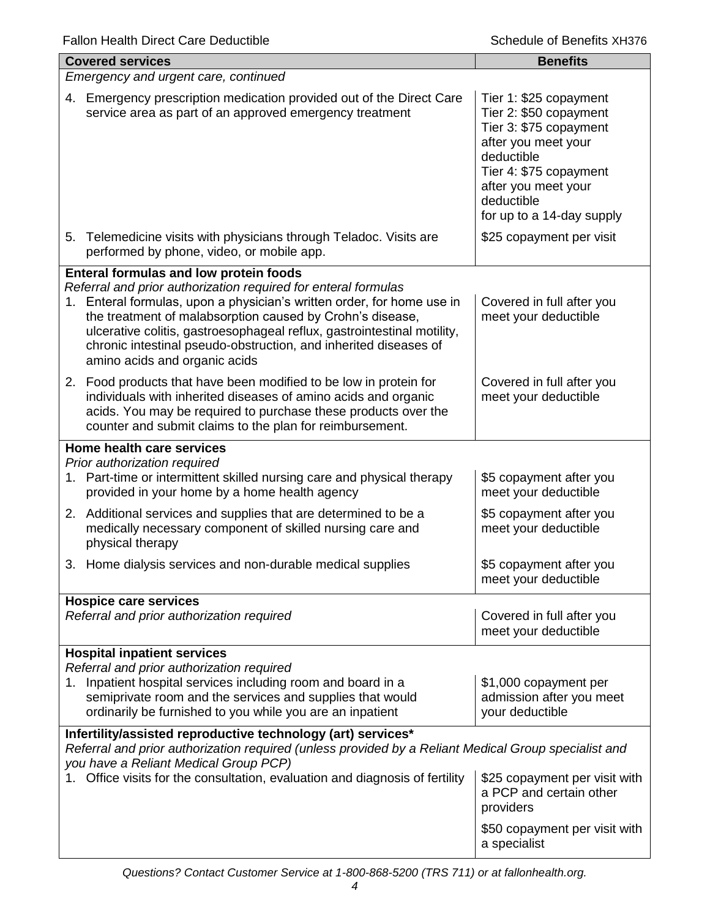| <b>Covered services</b>                                                                                                                                                                                                                                                                                                                                                               | <b>Benefits</b>                                                                                                                                                                                             |  |  |
|---------------------------------------------------------------------------------------------------------------------------------------------------------------------------------------------------------------------------------------------------------------------------------------------------------------------------------------------------------------------------------------|-------------------------------------------------------------------------------------------------------------------------------------------------------------------------------------------------------------|--|--|
| Emergency and urgent care, continued                                                                                                                                                                                                                                                                                                                                                  |                                                                                                                                                                                                             |  |  |
| Emergency prescription medication provided out of the Direct Care<br>4.<br>service area as part of an approved emergency treatment                                                                                                                                                                                                                                                    | Tier 1: \$25 copayment<br>Tier 2: \$50 copayment<br>Tier 3: \$75 copayment<br>after you meet your<br>deductible<br>Tier 4: \$75 copayment<br>after you meet your<br>deductible<br>for up to a 14-day supply |  |  |
| 5. Telemedicine visits with physicians through Teladoc. Visits are<br>performed by phone, video, or mobile app.                                                                                                                                                                                                                                                                       | \$25 copayment per visit                                                                                                                                                                                    |  |  |
| <b>Enteral formulas and low protein foods</b>                                                                                                                                                                                                                                                                                                                                         |                                                                                                                                                                                                             |  |  |
| Referral and prior authorization required for enteral formulas<br>1. Enteral formulas, upon a physician's written order, for home use in<br>the treatment of malabsorption caused by Crohn's disease,<br>ulcerative colitis, gastroesophageal reflux, gastrointestinal motility,<br>chronic intestinal pseudo-obstruction, and inherited diseases of<br>amino acids and organic acids | Covered in full after you<br>meet your deductible                                                                                                                                                           |  |  |
| 2. Food products that have been modified to be low in protein for<br>individuals with inherited diseases of amino acids and organic<br>acids. You may be required to purchase these products over the<br>counter and submit claims to the plan for reimbursement.                                                                                                                     | Covered in full after you<br>meet your deductible                                                                                                                                                           |  |  |
| Home health care services                                                                                                                                                                                                                                                                                                                                                             |                                                                                                                                                                                                             |  |  |
| Prior authorization required<br>1. Part-time or intermittent skilled nursing care and physical therapy<br>provided in your home by a home health agency                                                                                                                                                                                                                               | \$5 copayment after you<br>meet your deductible                                                                                                                                                             |  |  |
| 2. Additional services and supplies that are determined to be a<br>medically necessary component of skilled nursing care and<br>physical therapy                                                                                                                                                                                                                                      | \$5 copayment after you<br>meet your deductible                                                                                                                                                             |  |  |
| 3. Home dialysis services and non-durable medical supplies                                                                                                                                                                                                                                                                                                                            | \$5 copayment after you<br>meet your deductible                                                                                                                                                             |  |  |
| <b>Hospice care services</b><br>Referral and prior authorization required<br>Covered in full after you<br>meet your deductible                                                                                                                                                                                                                                                        |                                                                                                                                                                                                             |  |  |
| <b>Hospital inpatient services</b>                                                                                                                                                                                                                                                                                                                                                    |                                                                                                                                                                                                             |  |  |
| Referral and prior authorization required<br>Inpatient hospital services including room and board in a<br>1.<br>semiprivate room and the services and supplies that would<br>ordinarily be furnished to you while you are an inpatient                                                                                                                                                | \$1,000 copayment per<br>admission after you meet<br>your deductible                                                                                                                                        |  |  |
| Infertility/assisted reproductive technology (art) services*<br>Referral and prior authorization required (unless provided by a Reliant Medical Group specialist and<br>you have a Reliant Medical Group PCP)                                                                                                                                                                         |                                                                                                                                                                                                             |  |  |
| 1. Office visits for the consultation, evaluation and diagnosis of fertility                                                                                                                                                                                                                                                                                                          | \$25 copayment per visit with<br>a PCP and certain other<br>providers                                                                                                                                       |  |  |
|                                                                                                                                                                                                                                                                                                                                                                                       | \$50 copayment per visit with<br>a specialist                                                                                                                                                               |  |  |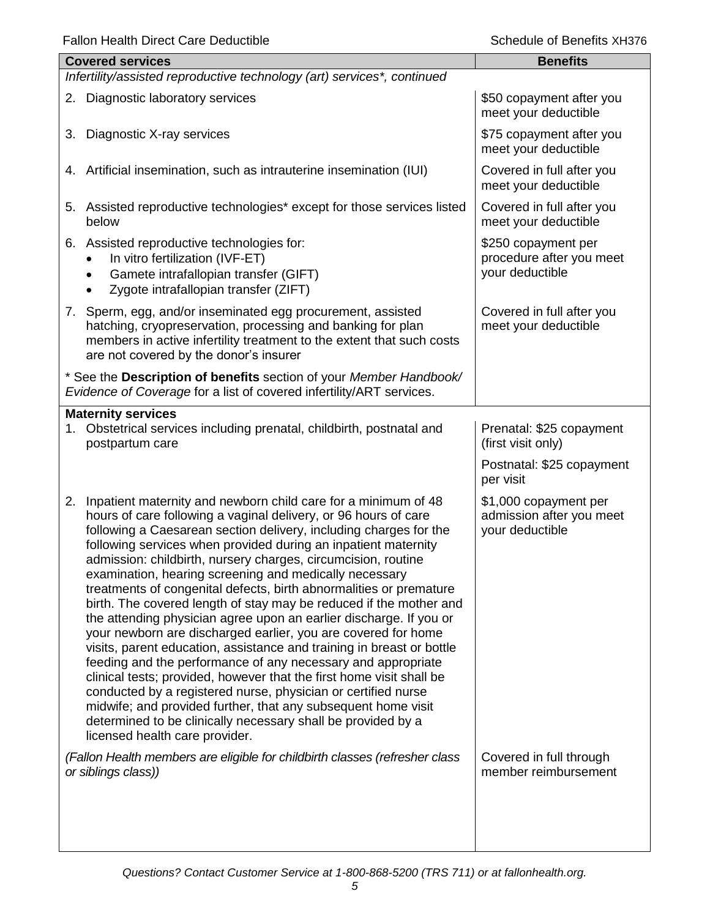| <b>Covered services</b>                                                                                                                                                                                                                                                                                                                                                                                                                                                                                                                                                                                                                                                                                                                                                                                                                                                                                                                                                                                                                                                                                                                           | <b>Benefits</b>                                                      |
|---------------------------------------------------------------------------------------------------------------------------------------------------------------------------------------------------------------------------------------------------------------------------------------------------------------------------------------------------------------------------------------------------------------------------------------------------------------------------------------------------------------------------------------------------------------------------------------------------------------------------------------------------------------------------------------------------------------------------------------------------------------------------------------------------------------------------------------------------------------------------------------------------------------------------------------------------------------------------------------------------------------------------------------------------------------------------------------------------------------------------------------------------|----------------------------------------------------------------------|
| Infertility/assisted reproductive technology (art) services*, continued                                                                                                                                                                                                                                                                                                                                                                                                                                                                                                                                                                                                                                                                                                                                                                                                                                                                                                                                                                                                                                                                           |                                                                      |
| 2. Diagnostic laboratory services                                                                                                                                                                                                                                                                                                                                                                                                                                                                                                                                                                                                                                                                                                                                                                                                                                                                                                                                                                                                                                                                                                                 | \$50 copayment after you<br>meet your deductible                     |
| Diagnostic X-ray services<br>3.                                                                                                                                                                                                                                                                                                                                                                                                                                                                                                                                                                                                                                                                                                                                                                                                                                                                                                                                                                                                                                                                                                                   | \$75 copayment after you<br>meet your deductible                     |
| 4. Artificial insemination, such as intrauterine insemination (IUI)                                                                                                                                                                                                                                                                                                                                                                                                                                                                                                                                                                                                                                                                                                                                                                                                                                                                                                                                                                                                                                                                               | Covered in full after you<br>meet your deductible                    |
| 5. Assisted reproductive technologies* except for those services listed<br>below                                                                                                                                                                                                                                                                                                                                                                                                                                                                                                                                                                                                                                                                                                                                                                                                                                                                                                                                                                                                                                                                  | Covered in full after you<br>meet your deductible                    |
| 6. Assisted reproductive technologies for:<br>In vitro fertilization (IVF-ET)<br>Gamete intrafallopian transfer (GIFT)<br>Zygote intrafallopian transfer (ZIFT)                                                                                                                                                                                                                                                                                                                                                                                                                                                                                                                                                                                                                                                                                                                                                                                                                                                                                                                                                                                   | \$250 copayment per<br>procedure after you meet<br>your deductible   |
| 7. Sperm, egg, and/or inseminated egg procurement, assisted<br>hatching, cryopreservation, processing and banking for plan<br>members in active infertility treatment to the extent that such costs<br>are not covered by the donor's insurer                                                                                                                                                                                                                                                                                                                                                                                                                                                                                                                                                                                                                                                                                                                                                                                                                                                                                                     | Covered in full after you<br>meet your deductible                    |
| * See the Description of benefits section of your Member Handbook/<br>Evidence of Coverage for a list of covered infertility/ART services.                                                                                                                                                                                                                                                                                                                                                                                                                                                                                                                                                                                                                                                                                                                                                                                                                                                                                                                                                                                                        |                                                                      |
| <b>Maternity services</b><br>1. Obstetrical services including prenatal, childbirth, postnatal and<br>postpartum care                                                                                                                                                                                                                                                                                                                                                                                                                                                                                                                                                                                                                                                                                                                                                                                                                                                                                                                                                                                                                             | Prenatal: \$25 copayment<br>(first visit only)                       |
|                                                                                                                                                                                                                                                                                                                                                                                                                                                                                                                                                                                                                                                                                                                                                                                                                                                                                                                                                                                                                                                                                                                                                   | Postnatal: \$25 copayment<br>per visit                               |
| Inpatient maternity and newborn child care for a minimum of 48<br>2.<br>hours of care following a vaginal delivery, or 96 hours of care<br>following a Caesarean section delivery, including charges for the<br>following services when provided during an inpatient maternity<br>admission: childbirth, nursery charges, circumcision, routine<br>examination, hearing screening and medically necessary<br>treatments of congenital defects, birth abnormalities or premature<br>birth. The covered length of stay may be reduced if the mother and<br>the attending physician agree upon an earlier discharge. If you or<br>your newborn are discharged earlier, you are covered for home<br>visits, parent education, assistance and training in breast or bottle<br>feeding and the performance of any necessary and appropriate<br>clinical tests; provided, however that the first home visit shall be<br>conducted by a registered nurse, physician or certified nurse<br>midwife; and provided further, that any subsequent home visit<br>determined to be clinically necessary shall be provided by a<br>licensed health care provider. | \$1,000 copayment per<br>admission after you meet<br>your deductible |
| (Fallon Health members are eligible for childbirth classes (refresher class<br>or siblings class))                                                                                                                                                                                                                                                                                                                                                                                                                                                                                                                                                                                                                                                                                                                                                                                                                                                                                                                                                                                                                                                | Covered in full through<br>member reimbursement                      |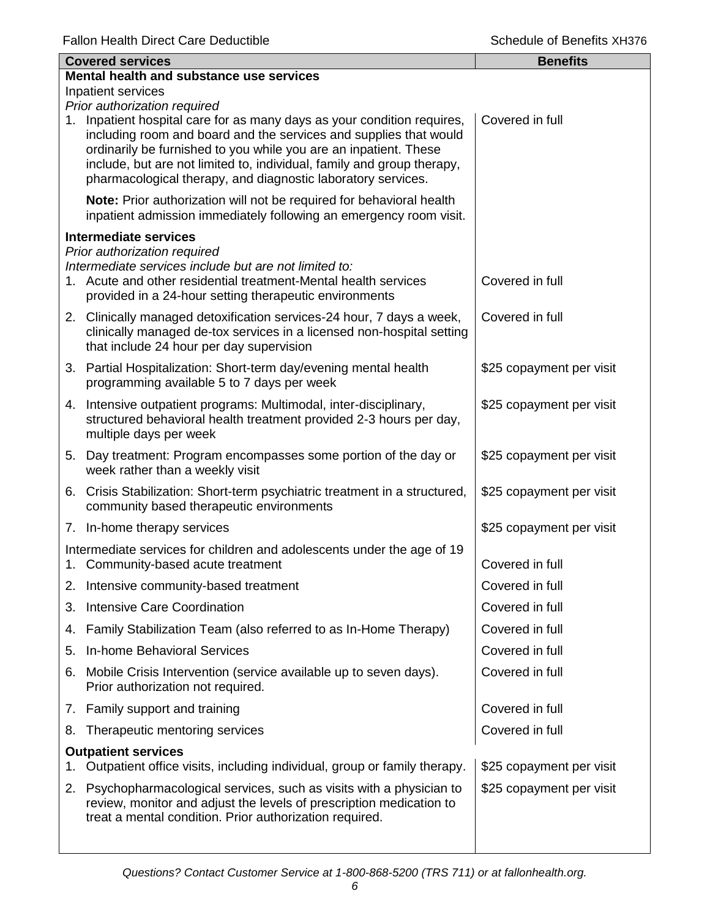| <b>Covered services</b> |                                                                                                                                                                                                                                                                                                                                                         | <b>Benefits</b>          |  |  |
|-------------------------|---------------------------------------------------------------------------------------------------------------------------------------------------------------------------------------------------------------------------------------------------------------------------------------------------------------------------------------------------------|--------------------------|--|--|
|                         | Mental health and substance use services                                                                                                                                                                                                                                                                                                                |                          |  |  |
|                         | Inpatient services<br>Prior authorization required                                                                                                                                                                                                                                                                                                      |                          |  |  |
| 1.                      | Inpatient hospital care for as many days as your condition requires,<br>including room and board and the services and supplies that would<br>ordinarily be furnished to you while you are an inpatient. These<br>include, but are not limited to, individual, family and group therapy,<br>pharmacological therapy, and diagnostic laboratory services. | Covered in full          |  |  |
|                         | Note: Prior authorization will not be required for behavioral health<br>inpatient admission immediately following an emergency room visit.                                                                                                                                                                                                              |                          |  |  |
|                         | <b>Intermediate services</b>                                                                                                                                                                                                                                                                                                                            |                          |  |  |
|                         | Prior authorization required<br>Intermediate services include but are not limited to:<br>1. Acute and other residential treatment-Mental health services<br>provided in a 24-hour setting therapeutic environments                                                                                                                                      | Covered in full          |  |  |
|                         | 2. Clinically managed detoxification services-24 hour, 7 days a week,<br>clinically managed de-tox services in a licensed non-hospital setting<br>that include 24 hour per day supervision                                                                                                                                                              | Covered in full          |  |  |
|                         | 3. Partial Hospitalization: Short-term day/evening mental health<br>programming available 5 to 7 days per week                                                                                                                                                                                                                                          | \$25 copayment per visit |  |  |
|                         | 4. Intensive outpatient programs: Multimodal, inter-disciplinary,<br>structured behavioral health treatment provided 2-3 hours per day,<br>multiple days per week                                                                                                                                                                                       | \$25 copayment per visit |  |  |
|                         | 5. Day treatment: Program encompasses some portion of the day or<br>week rather than a weekly visit                                                                                                                                                                                                                                                     | \$25 copayment per visit |  |  |
|                         | 6. Crisis Stabilization: Short-term psychiatric treatment in a structured,<br>community based therapeutic environments                                                                                                                                                                                                                                  | \$25 copayment per visit |  |  |
|                         | 7. In-home therapy services                                                                                                                                                                                                                                                                                                                             | \$25 copayment per visit |  |  |
|                         | Intermediate services for children and adolescents under the age of 19<br>1. Community-based acute treatment                                                                                                                                                                                                                                            | Covered in full          |  |  |
| 2.                      | Intensive community-based treatment                                                                                                                                                                                                                                                                                                                     | Covered in full          |  |  |
| 3.                      | <b>Intensive Care Coordination</b>                                                                                                                                                                                                                                                                                                                      | Covered in full          |  |  |
| 4.                      | Family Stabilization Team (also referred to as In-Home Therapy)                                                                                                                                                                                                                                                                                         | Covered in full          |  |  |
| 5.                      | In-home Behavioral Services                                                                                                                                                                                                                                                                                                                             | Covered in full          |  |  |
| 6.                      | Mobile Crisis Intervention (service available up to seven days).<br>Prior authorization not required.                                                                                                                                                                                                                                                   | Covered in full          |  |  |
|                         | 7. Family support and training                                                                                                                                                                                                                                                                                                                          | Covered in full          |  |  |
| 8.                      | Therapeutic mentoring services                                                                                                                                                                                                                                                                                                                          | Covered in full          |  |  |
| 1.                      | <b>Outpatient services</b><br>Outpatient office visits, including individual, group or family therapy.                                                                                                                                                                                                                                                  | \$25 copayment per visit |  |  |
| 2.                      | Psychopharmacological services, such as visits with a physician to<br>review, monitor and adjust the levels of prescription medication to<br>treat a mental condition. Prior authorization required.                                                                                                                                                    | \$25 copayment per visit |  |  |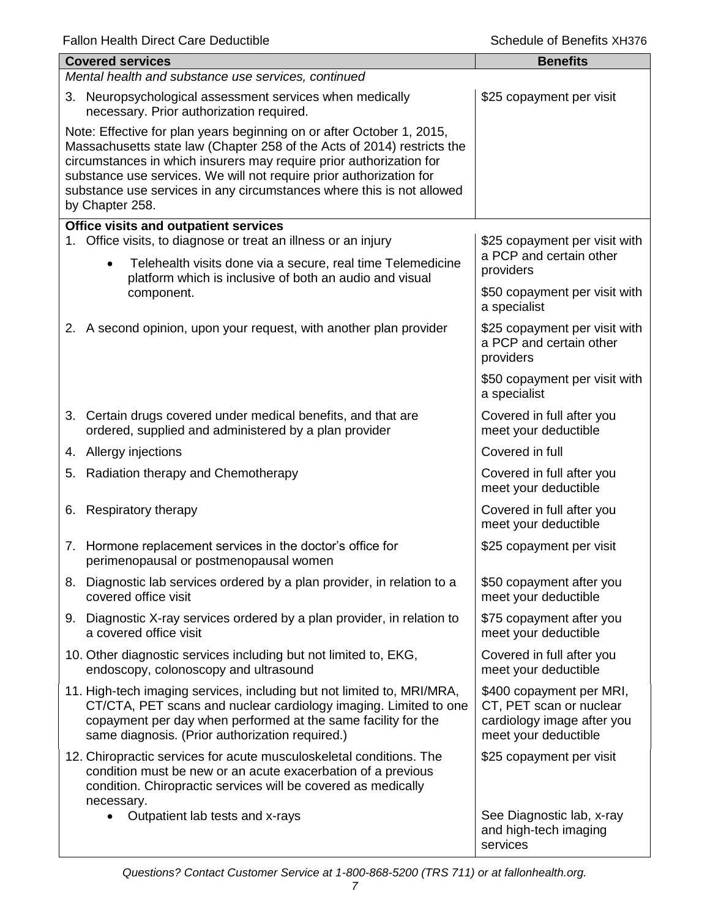|    | <b>Covered services</b><br>Mental health and substance use services, continued                                                                                                                                                                                                                                                                                                             | <b>Benefits</b>                                                                                           |
|----|--------------------------------------------------------------------------------------------------------------------------------------------------------------------------------------------------------------------------------------------------------------------------------------------------------------------------------------------------------------------------------------------|-----------------------------------------------------------------------------------------------------------|
|    | 3. Neuropsychological assessment services when medically<br>necessary. Prior authorization required.                                                                                                                                                                                                                                                                                       | \$25 copayment per visit                                                                                  |
|    | Note: Effective for plan years beginning on or after October 1, 2015,<br>Massachusetts state law (Chapter 258 of the Acts of 2014) restricts the<br>circumstances in which insurers may require prior authorization for<br>substance use services. We will not require prior authorization for<br>substance use services in any circumstances where this is not allowed<br>by Chapter 258. |                                                                                                           |
|    | <b>Office visits and outpatient services</b>                                                                                                                                                                                                                                                                                                                                               |                                                                                                           |
| 1. | Office visits, to diagnose or treat an illness or an injury<br>Telehealth visits done via a secure, real time Telemedicine<br>$\bullet$                                                                                                                                                                                                                                                    | \$25 copayment per visit with<br>a PCP and certain other<br>providers                                     |
|    | platform which is inclusive of both an audio and visual<br>component.                                                                                                                                                                                                                                                                                                                      | \$50 copayment per visit with<br>a specialist                                                             |
|    | 2. A second opinion, upon your request, with another plan provider                                                                                                                                                                                                                                                                                                                         | \$25 copayment per visit with<br>a PCP and certain other<br>providers                                     |
|    |                                                                                                                                                                                                                                                                                                                                                                                            | \$50 copayment per visit with<br>a specialist                                                             |
|    | 3. Certain drugs covered under medical benefits, and that are<br>ordered, supplied and administered by a plan provider                                                                                                                                                                                                                                                                     | Covered in full after you<br>meet your deductible                                                         |
|    | 4. Allergy injections                                                                                                                                                                                                                                                                                                                                                                      | Covered in full                                                                                           |
| 5. | Radiation therapy and Chemotherapy                                                                                                                                                                                                                                                                                                                                                         | Covered in full after you<br>meet your deductible                                                         |
|    | 6. Respiratory therapy                                                                                                                                                                                                                                                                                                                                                                     | Covered in full after you<br>meet your deductible                                                         |
|    | 7. Hormone replacement services in the doctor's office for<br>perimenopausal or postmenopausal women                                                                                                                                                                                                                                                                                       | \$25 copayment per visit                                                                                  |
|    | 8. Diagnostic lab services ordered by a plan provider, in relation to a<br>covered office visit                                                                                                                                                                                                                                                                                            | \$50 copayment after you<br>meet your deductible                                                          |
|    | 9. Diagnostic X-ray services ordered by a plan provider, in relation to<br>a covered office visit                                                                                                                                                                                                                                                                                          | \$75 copayment after you<br>meet your deductible                                                          |
|    | 10. Other diagnostic services including but not limited to, EKG,<br>endoscopy, colonoscopy and ultrasound                                                                                                                                                                                                                                                                                  | Covered in full after you<br>meet your deductible                                                         |
|    | 11. High-tech imaging services, including but not limited to, MRI/MRA,<br>CT/CTA, PET scans and nuclear cardiology imaging. Limited to one<br>copayment per day when performed at the same facility for the<br>same diagnosis. (Prior authorization required.)                                                                                                                             | \$400 copayment per MRI,<br>CT, PET scan or nuclear<br>cardiology image after you<br>meet your deductible |
|    | 12. Chiropractic services for acute musculoskeletal conditions. The<br>condition must be new or an acute exacerbation of a previous<br>condition. Chiropractic services will be covered as medically<br>necessary.                                                                                                                                                                         | \$25 copayment per visit                                                                                  |
|    | Outpatient lab tests and x-rays<br>$\bullet$                                                                                                                                                                                                                                                                                                                                               | See Diagnostic lab, x-ray<br>and high-tech imaging<br>services                                            |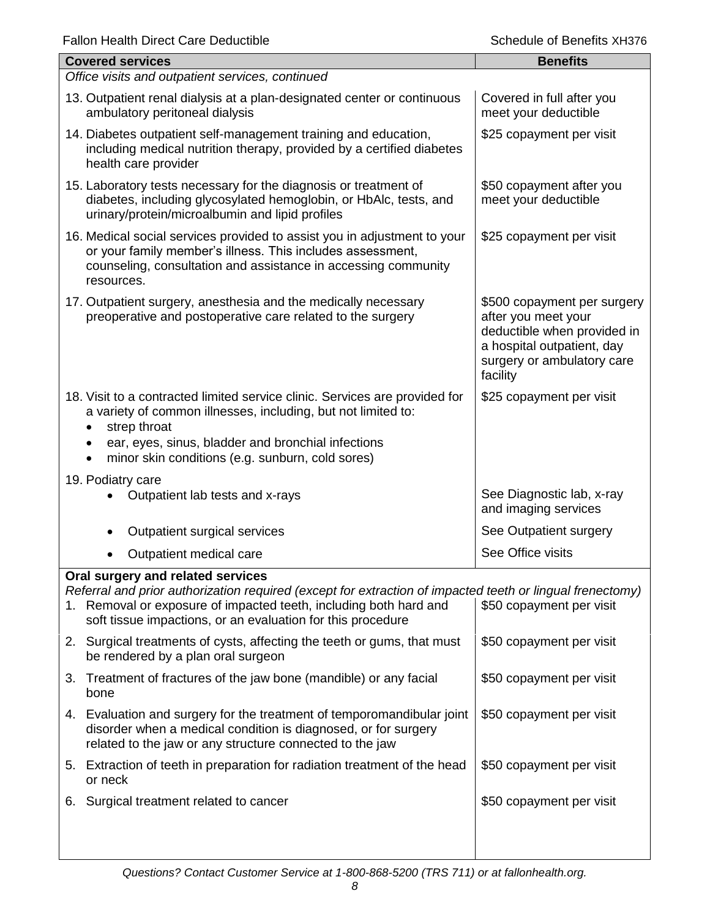| Fallon Health Direct Care Deductible                                                                                                                                                                                                                                   | Scriedule of Beliefits XH376                                                                                                                              |
|------------------------------------------------------------------------------------------------------------------------------------------------------------------------------------------------------------------------------------------------------------------------|-----------------------------------------------------------------------------------------------------------------------------------------------------------|
| <b>Covered services</b>                                                                                                                                                                                                                                                | <b>Benefits</b>                                                                                                                                           |
| Office visits and outpatient services, continued                                                                                                                                                                                                                       |                                                                                                                                                           |
| 13. Outpatient renal dialysis at a plan-designated center or continuous<br>ambulatory peritoneal dialysis                                                                                                                                                              | Covered in full after you<br>meet your deductible                                                                                                         |
| 14. Diabetes outpatient self-management training and education,<br>including medical nutrition therapy, provided by a certified diabetes<br>health care provider                                                                                                       | \$25 copayment per visit                                                                                                                                  |
| 15. Laboratory tests necessary for the diagnosis or treatment of<br>diabetes, including glycosylated hemoglobin, or HbAlc, tests, and<br>urinary/protein/microalbumin and lipid profiles                                                                               | \$50 copayment after you<br>meet your deductible                                                                                                          |
| 16. Medical social services provided to assist you in adjustment to your<br>or your family member's illness. This includes assessment,<br>counseling, consultation and assistance in accessing community<br>resources.                                                 | \$25 copayment per visit                                                                                                                                  |
| 17. Outpatient surgery, anesthesia and the medically necessary<br>preoperative and postoperative care related to the surgery                                                                                                                                           | \$500 copayment per surgery<br>after you meet your<br>deductible when provided in<br>a hospital outpatient, day<br>surgery or ambulatory care<br>facility |
| 18. Visit to a contracted limited service clinic. Services are provided for<br>a variety of common illnesses, including, but not limited to:<br>strep throat<br>ear, eyes, sinus, bladder and bronchial infections<br>minor skin conditions (e.g. sunburn, cold sores) | \$25 copayment per visit                                                                                                                                  |
| 19. Podiatry care<br>Outpatient lab tests and x-rays                                                                                                                                                                                                                   | See Diagnostic lab, x-ray<br>and imaging services                                                                                                         |
| Outpatient surgical services<br>٠                                                                                                                                                                                                                                      | See Outpatient surgery                                                                                                                                    |
| Outpatient medical care                                                                                                                                                                                                                                                | See Office visits                                                                                                                                         |
| Oral surgery and related services                                                                                                                                                                                                                                      |                                                                                                                                                           |
| Referral and prior authorization required (except for extraction of impacted teeth or lingual frenectomy)<br>1. Removal or exposure of impacted teeth, including both hard and<br>soft tissue impactions, or an evaluation for this procedure                          | \$50 copayment per visit                                                                                                                                  |
| 2. Surgical treatments of cysts, affecting the teeth or gums, that must<br>be rendered by a plan oral surgeon                                                                                                                                                          | \$50 copayment per visit                                                                                                                                  |
| 3. Treatment of fractures of the jaw bone (mandible) or any facial<br>bone                                                                                                                                                                                             | \$50 copayment per visit                                                                                                                                  |
| 4. Evaluation and surgery for the treatment of temporomandibular joint<br>disorder when a medical condition is diagnosed, or for surgery<br>related to the jaw or any structure connected to the jaw                                                                   | \$50 copayment per visit                                                                                                                                  |
| 5. Extraction of teeth in preparation for radiation treatment of the head<br>or neck                                                                                                                                                                                   | \$50 copayment per visit                                                                                                                                  |
| 6. Surgical treatment related to cancer                                                                                                                                                                                                                                | \$50 copayment per visit                                                                                                                                  |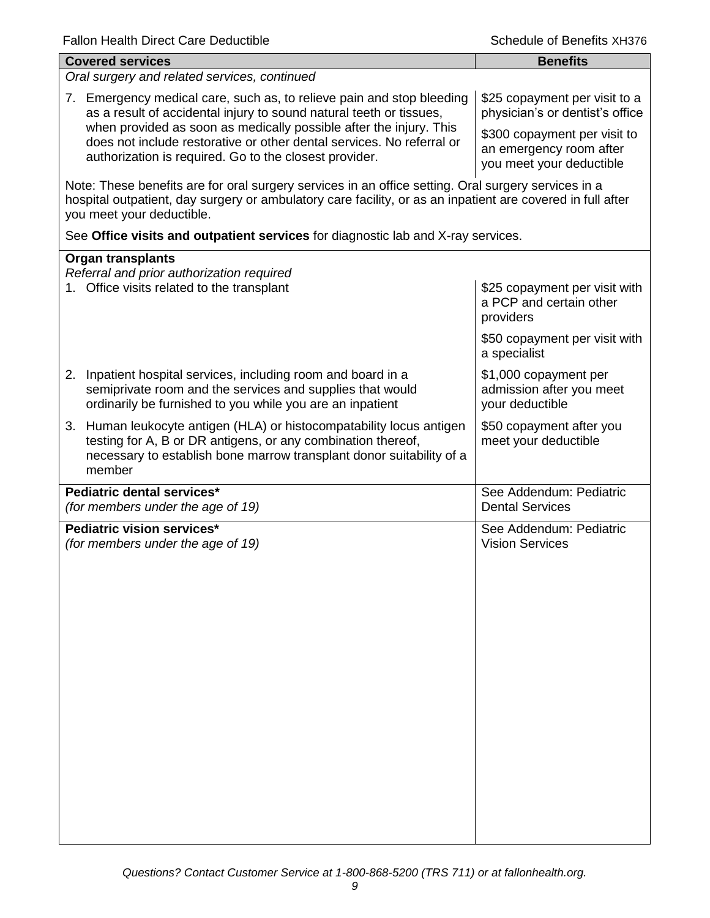| <b>Covered services</b>                                                                                                                                                                                                                        | <b>Benefits</b>                                                                     |  |  |
|------------------------------------------------------------------------------------------------------------------------------------------------------------------------------------------------------------------------------------------------|-------------------------------------------------------------------------------------|--|--|
| Oral surgery and related services, continued                                                                                                                                                                                                   |                                                                                     |  |  |
| 7. Emergency medical care, such as, to relieve pain and stop bleeding<br>as a result of accidental injury to sound natural teeth or tissues,<br>when provided as soon as medically possible after the injury. This                             | \$25 copayment per visit to a<br>physician's or dentist's office                    |  |  |
| does not include restorative or other dental services. No referral or<br>authorization is required. Go to the closest provider.                                                                                                                | \$300 copayment per visit to<br>an emergency room after<br>you meet your deductible |  |  |
| Note: These benefits are for oral surgery services in an office setting. Oral surgery services in a<br>hospital outpatient, day surgery or ambulatory care facility, or as an inpatient are covered in full after<br>you meet your deductible. |                                                                                     |  |  |
| See Office visits and outpatient services for diagnostic lab and X-ray services.                                                                                                                                                               |                                                                                     |  |  |
| <b>Organ transplants</b>                                                                                                                                                                                                                       |                                                                                     |  |  |
| Referral and prior authorization required<br>1. Office visits related to the transplant                                                                                                                                                        | \$25 copayment per visit with<br>a PCP and certain other<br>providers               |  |  |
|                                                                                                                                                                                                                                                | \$50 copayment per visit with<br>a specialist                                       |  |  |
| 2. Inpatient hospital services, including room and board in a<br>semiprivate room and the services and supplies that would<br>ordinarily be furnished to you while you are an inpatient                                                        | \$1,000 copayment per<br>admission after you meet<br>your deductible                |  |  |
| 3. Human leukocyte antigen (HLA) or histocompatability locus antigen<br>testing for A, B or DR antigens, or any combination thereof,<br>necessary to establish bone marrow transplant donor suitability of a<br>member                         | \$50 copayment after you<br>meet your deductible                                    |  |  |
| Pediatric dental services*<br>(for members under the age of 19)                                                                                                                                                                                | See Addendum: Pediatric<br><b>Dental Services</b>                                   |  |  |
| Pediatric vision services*<br>(for members under the age of 19)                                                                                                                                                                                | See Addendum: Pediatric<br><b>Vision Services</b>                                   |  |  |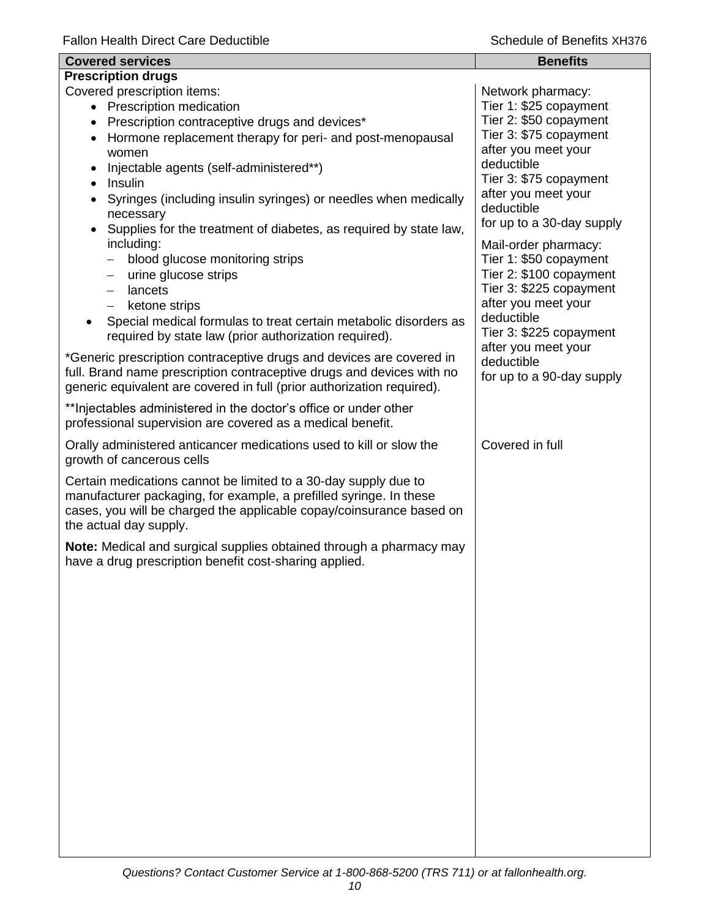| <b>Covered services</b>                                                                                                                                                                                                                 | <b>Benefits</b>                                                           |
|-----------------------------------------------------------------------------------------------------------------------------------------------------------------------------------------------------------------------------------------|---------------------------------------------------------------------------|
| <b>Prescription drugs</b>                                                                                                                                                                                                               |                                                                           |
| Covered prescription items:<br>• Prescription medication                                                                                                                                                                                | Network pharmacy:<br>Tier 1: \$25 copayment                               |
| • Prescription contraceptive drugs and devices*<br>Hormone replacement therapy for peri- and post-menopausal<br>women                                                                                                                   | Tier 2: \$50 copayment<br>Tier 3: \$75 copayment<br>after you meet your   |
| Injectable agents (self-administered**)<br>• Insulin                                                                                                                                                                                    | deductible<br>Tier 3: \$75 copayment<br>after you meet your               |
| Syringes (including insulin syringes) or needles when medically<br>necessary<br>Supplies for the treatment of diabetes, as required by state law,                                                                                       | deductible<br>for up to a 30-day supply                                   |
| including:<br>blood glucose monitoring strips<br>$\qquad \qquad -$                                                                                                                                                                      | Mail-order pharmacy:<br>Tier 1: \$50 copayment                            |
| urine glucose strips<br>$\qquad \qquad -$<br>lancets<br>$\qquad \qquad -$<br>ketone strips<br>$\overline{\phantom{0}}$                                                                                                                  | Tier 2: \$100 copayment<br>Tier 3: \$225 copayment<br>after you meet your |
| Special medical formulas to treat certain metabolic disorders as<br>required by state law (prior authorization required).                                                                                                               | deductible<br>Tier 3: \$225 copayment<br>after you meet your              |
| *Generic prescription contraceptive drugs and devices are covered in<br>full. Brand name prescription contraceptive drugs and devices with no<br>generic equivalent are covered in full (prior authorization required).                 | deductible<br>for up to a 90-day supply                                   |
| ** Injectables administered in the doctor's office or under other<br>professional supervision are covered as a medical benefit.                                                                                                         |                                                                           |
| Orally administered anticancer medications used to kill or slow the<br>growth of cancerous cells                                                                                                                                        | Covered in full                                                           |
| Certain medications cannot be limited to a 30-day supply due to<br>manufacturer packaging, for example, a prefilled syringe. In these<br>cases, you will be charged the applicable copay/coinsurance based on<br>the actual day supply. |                                                                           |
| Note: Medical and surgical supplies obtained through a pharmacy may<br>have a drug prescription benefit cost-sharing applied.                                                                                                           |                                                                           |
|                                                                                                                                                                                                                                         |                                                                           |
|                                                                                                                                                                                                                                         |                                                                           |
|                                                                                                                                                                                                                                         |                                                                           |
|                                                                                                                                                                                                                                         |                                                                           |
|                                                                                                                                                                                                                                         |                                                                           |
|                                                                                                                                                                                                                                         |                                                                           |
|                                                                                                                                                                                                                                         |                                                                           |
|                                                                                                                                                                                                                                         |                                                                           |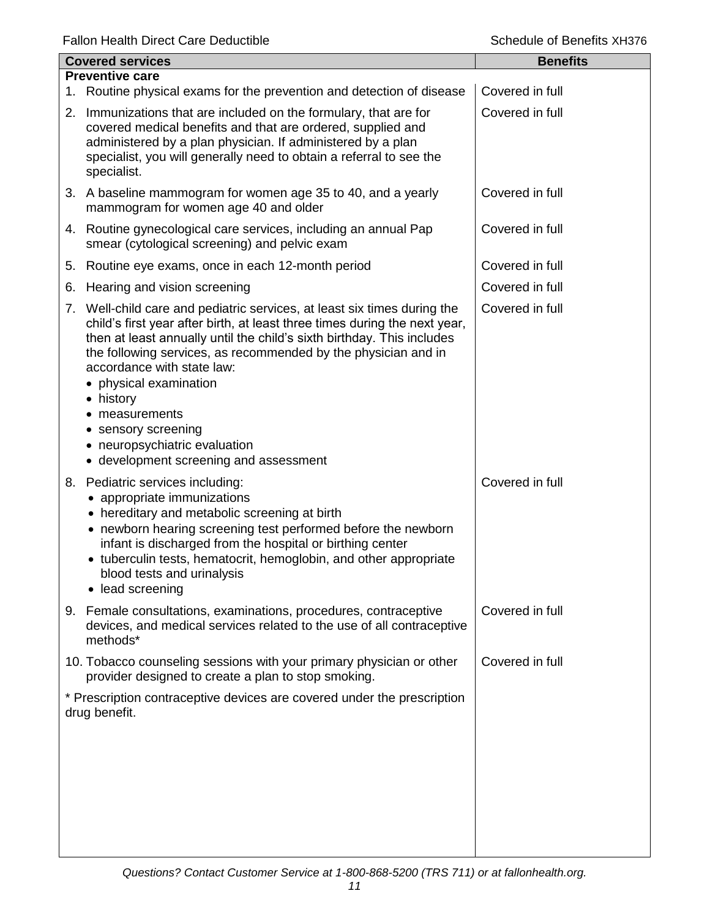|                                                                                                                                                                                                                                                                                                                                                                                                               | <b>Benefits</b>                                                                                                                                                                                                                                                                                                                                                                                                                                                                                                                                                                                                                                                                                                                                  |
|---------------------------------------------------------------------------------------------------------------------------------------------------------------------------------------------------------------------------------------------------------------------------------------------------------------------------------------------------------------------------------------------------------------|--------------------------------------------------------------------------------------------------------------------------------------------------------------------------------------------------------------------------------------------------------------------------------------------------------------------------------------------------------------------------------------------------------------------------------------------------------------------------------------------------------------------------------------------------------------------------------------------------------------------------------------------------------------------------------------------------------------------------------------------------|
|                                                                                                                                                                                                                                                                                                                                                                                                               |                                                                                                                                                                                                                                                                                                                                                                                                                                                                                                                                                                                                                                                                                                                                                  |
|                                                                                                                                                                                                                                                                                                                                                                                                               | Covered in full                                                                                                                                                                                                                                                                                                                                                                                                                                                                                                                                                                                                                                                                                                                                  |
| covered medical benefits and that are ordered, supplied and<br>administered by a plan physician. If administered by a plan<br>specialist, you will generally need to obtain a referral to see the<br>specialist.                                                                                                                                                                                              | Covered in full                                                                                                                                                                                                                                                                                                                                                                                                                                                                                                                                                                                                                                                                                                                                  |
| mammogram for women age 40 and older                                                                                                                                                                                                                                                                                                                                                                          | Covered in full                                                                                                                                                                                                                                                                                                                                                                                                                                                                                                                                                                                                                                                                                                                                  |
| smear (cytological screening) and pelvic exam                                                                                                                                                                                                                                                                                                                                                                 | Covered in full                                                                                                                                                                                                                                                                                                                                                                                                                                                                                                                                                                                                                                                                                                                                  |
|                                                                                                                                                                                                                                                                                                                                                                                                               | Covered in full                                                                                                                                                                                                                                                                                                                                                                                                                                                                                                                                                                                                                                                                                                                                  |
| Hearing and vision screening                                                                                                                                                                                                                                                                                                                                                                                  | Covered in full                                                                                                                                                                                                                                                                                                                                                                                                                                                                                                                                                                                                                                                                                                                                  |
| child's first year after birth, at least three times during the next year,<br>then at least annually until the child's sixth birthday. This includes<br>the following services, as recommended by the physician and in<br>accordance with state law:<br>• physical examination<br>• history<br>measurements<br>• sensory screening<br>• neuropsychiatric evaluation<br>• development screening and assessment | Covered in full                                                                                                                                                                                                                                                                                                                                                                                                                                                                                                                                                                                                                                                                                                                                  |
| • appropriate immunizations<br>• hereditary and metabolic screening at birth<br>• newborn hearing screening test performed before the newborn<br>infant is discharged from the hospital or birthing center<br>• tuberculin tests, hematocrit, hemoglobin, and other appropriate<br>blood tests and urinalysis<br>• lead screening                                                                             | Covered in full                                                                                                                                                                                                                                                                                                                                                                                                                                                                                                                                                                                                                                                                                                                                  |
| devices, and medical services related to the use of all contraceptive<br>methods*                                                                                                                                                                                                                                                                                                                             | Covered in full                                                                                                                                                                                                                                                                                                                                                                                                                                                                                                                                                                                                                                                                                                                                  |
| provider designed to create a plan to stop smoking.                                                                                                                                                                                                                                                                                                                                                           | Covered in full                                                                                                                                                                                                                                                                                                                                                                                                                                                                                                                                                                                                                                                                                                                                  |
|                                                                                                                                                                                                                                                                                                                                                                                                               |                                                                                                                                                                                                                                                                                                                                                                                                                                                                                                                                                                                                                                                                                                                                                  |
|                                                                                                                                                                                                                                                                                                                                                                                                               | <b>Covered services</b><br><b>Preventive care</b><br>1. Routine physical exams for the prevention and detection of disease<br>2. Immunizations that are included on the formulary, that are for<br>3. A baseline mammogram for women age 35 to 40, and a yearly<br>4. Routine gynecological care services, including an annual Pap<br>5. Routine eye exams, once in each 12-month period<br>7. Well-child care and pediatric services, at least six times during the<br>8. Pediatric services including:<br>9. Female consultations, examinations, procedures, contraceptive<br>10. Tobacco counseling sessions with your primary physician or other<br>* Prescription contraceptive devices are covered under the prescription<br>drug benefit. |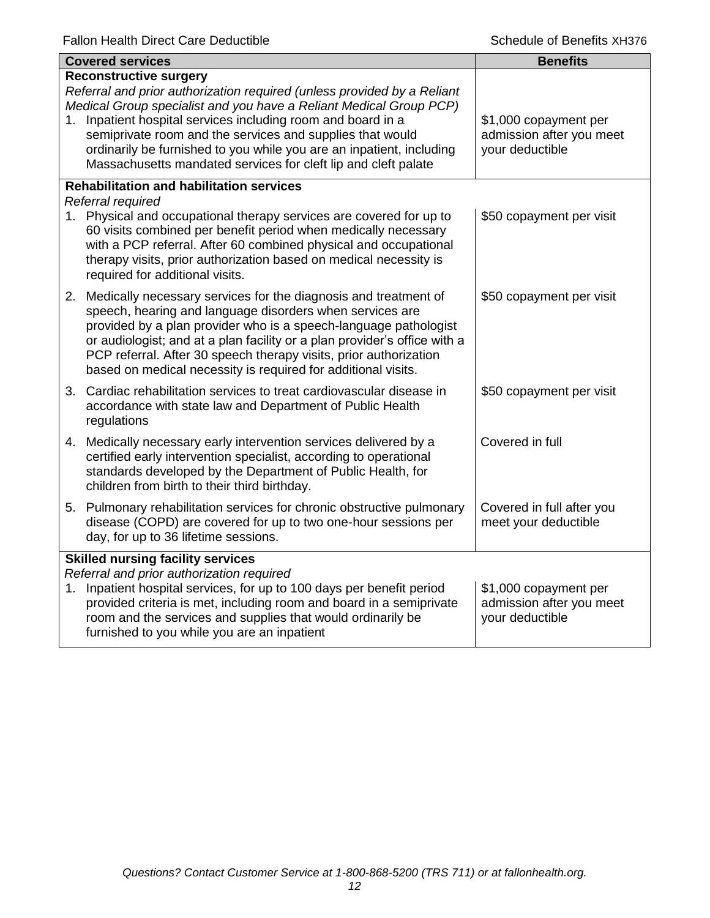|    | <b>Covered services</b>                                                                                                                                                                                                                                                                                                                                                                                                                            | <b>Benefits</b>                                                      |
|----|----------------------------------------------------------------------------------------------------------------------------------------------------------------------------------------------------------------------------------------------------------------------------------------------------------------------------------------------------------------------------------------------------------------------------------------------------|----------------------------------------------------------------------|
| 1. | <b>Reconstructive surgery</b><br>Referral and prior authorization required (unless provided by a Reliant<br>Medical Group specialist and you have a Reliant Medical Group PCP)<br>Inpatient hospital services including room and board in a<br>semiprivate room and the services and supplies that would<br>ordinarily be furnished to you while you are an inpatient, including<br>Massachusetts mandated services for cleft lip and cleft palate | \$1,000 copayment per<br>admission after you meet<br>your deductible |
|    | <b>Rehabilitation and habilitation services</b><br>Referral required                                                                                                                                                                                                                                                                                                                                                                               |                                                                      |
|    | 1. Physical and occupational therapy services are covered for up to<br>60 visits combined per benefit period when medically necessary<br>with a PCP referral. After 60 combined physical and occupational<br>therapy visits, prior authorization based on medical necessity is<br>required for additional visits.                                                                                                                                  | \$50 copayment per visit                                             |
|    | 2. Medically necessary services for the diagnosis and treatment of<br>speech, hearing and language disorders when services are<br>provided by a plan provider who is a speech-language pathologist<br>or audiologist; and at a plan facility or a plan provider's office with a<br>PCP referral. After 30 speech therapy visits, prior authorization<br>based on medical necessity is required for additional visits.                              | \$50 copayment per visit                                             |
|    | 3. Cardiac rehabilitation services to treat cardiovascular disease in<br>accordance with state law and Department of Public Health<br>regulations                                                                                                                                                                                                                                                                                                  | \$50 copayment per visit                                             |
|    | 4. Medically necessary early intervention services delivered by a<br>certified early intervention specialist, according to operational<br>standards developed by the Department of Public Health, for<br>children from birth to their third birthday.                                                                                                                                                                                              | Covered in full                                                      |
|    | 5. Pulmonary rehabilitation services for chronic obstructive pulmonary<br>disease (COPD) are covered for up to two one-hour sessions per<br>day, for up to 36 lifetime sessions.                                                                                                                                                                                                                                                                   | Covered in full after you<br>meet your deductible                    |
| 1. | <b>Skilled nursing facility services</b><br>Referral and prior authorization required<br>Inpatient hospital services, for up to 100 days per benefit period<br>provided criteria is met, including room and board in a semiprivate<br>room and the services and supplies that would ordinarily be<br>furnished to you while you are an inpatient                                                                                                   | \$1,000 copayment per<br>admission after you meet<br>your deductible |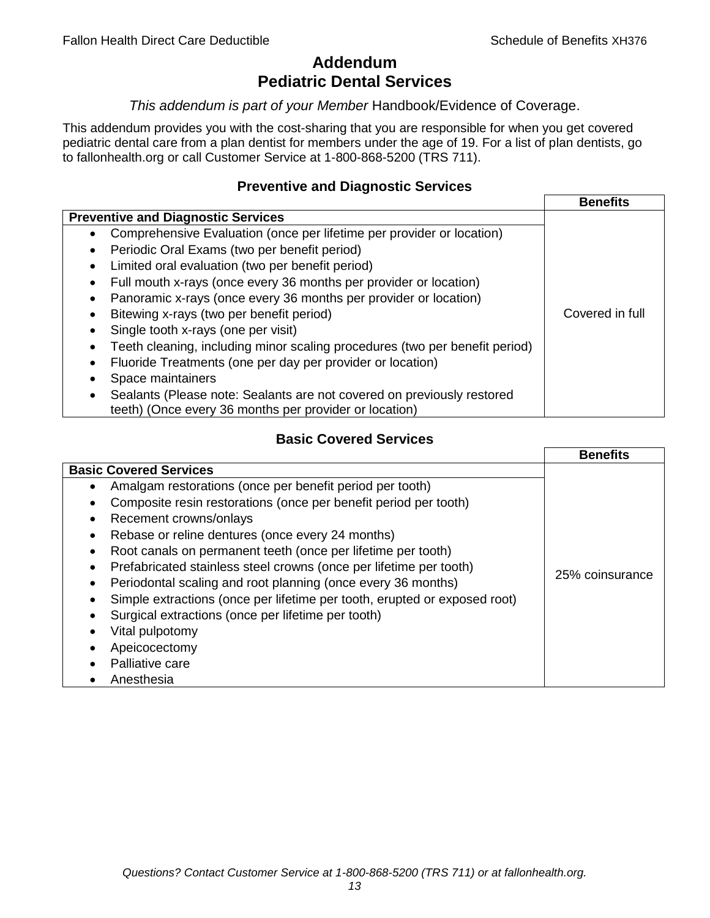# **Addendum Pediatric Dental Services**

# *This addendum is part of your Member* Handbook/Evidence of Coverage.

This addendum provides you with the cost-sharing that you are responsible for when you get covered pediatric dental care from a plan dentist for members under the age of 19. For a list of plan dentists, go to fallonhealth.org or call Customer Service at 1-800-868-5200 (TRS 711).

# **Preventive and Diagnostic Services**

|                                                                             | <b>Benefits</b> |
|-----------------------------------------------------------------------------|-----------------|
| <b>Preventive and Diagnostic Services</b>                                   |                 |
| Comprehensive Evaluation (once per lifetime per provider or location)<br>٠  |                 |
| Periodic Oral Exams (two per benefit period)<br>$\bullet$                   |                 |
| Limited oral evaluation (two per benefit period)<br>$\bullet$               |                 |
| Full mouth x-rays (once every 36 months per provider or location)<br>٠      |                 |
| Panoramic x-rays (once every 36 months per provider or location)            |                 |
| Bitewing x-rays (two per benefit period)<br>٠                               | Covered in full |
| Single tooth x-rays (one per visit)                                         |                 |
| Teeth cleaning, including minor scaling procedures (two per benefit period) |                 |
| Fluoride Treatments (one per day per provider or location)<br>٠             |                 |
| Space maintainers                                                           |                 |
| Sealants (Please note: Sealants are not covered on previously restored      |                 |
| teeth) (Once every 36 months per provider or location)                      |                 |

# **Basic Covered Services**

|                                                                           | <b>Benefits</b> |
|---------------------------------------------------------------------------|-----------------|
| <b>Basic Covered Services</b>                                             |                 |
| Amalgam restorations (once per benefit period per tooth)                  |                 |
| Composite resin restorations (once per benefit period per tooth)          |                 |
| Recement crowns/onlays                                                    |                 |
| Rebase or reline dentures (once every 24 months)                          |                 |
| Root canals on permanent teeth (once per lifetime per tooth)              |                 |
| Prefabricated stainless steel crowns (once per lifetime per tooth)        |                 |
| Periodontal scaling and root planning (once every 36 months)              | 25% coinsurance |
| Simple extractions (once per lifetime per tooth, erupted or exposed root) |                 |
| Surgical extractions (once per lifetime per tooth)                        |                 |
| Vital pulpotomy                                                           |                 |
| Apeicocectomy                                                             |                 |
| Palliative care                                                           |                 |
| Anesthesia                                                                |                 |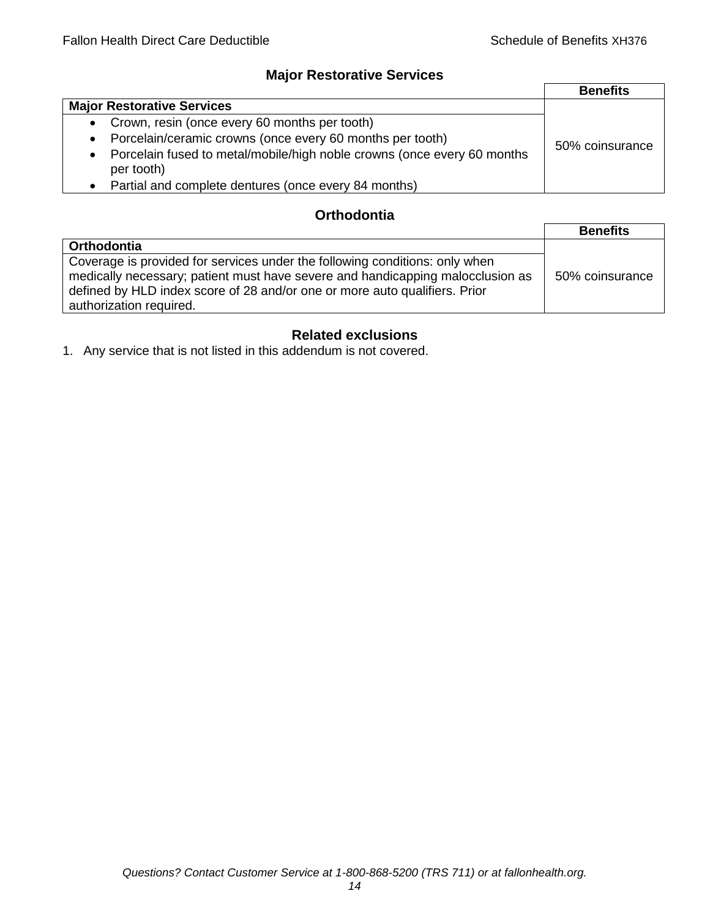# **Major Restorative Services**

|                                                                                                    | <b>Benefits</b> |
|----------------------------------------------------------------------------------------------------|-----------------|
| <b>Major Restorative Services</b>                                                                  |                 |
| • Crown, resin (once every 60 months per tooth)                                                    |                 |
| Porcelain/ceramic crowns (once every 60 months per tooth)<br>$\bullet$                             | 50% coinsurance |
| Porcelain fused to metal/mobile/high noble crowns (once every 60 months<br>$\bullet$<br>per tooth) |                 |
| • Partial and complete dentures (once every 84 months)                                             |                 |

# **Orthodontia**

|                                                                                                                                                                                                                                                                        | <b>Benefits</b> |
|------------------------------------------------------------------------------------------------------------------------------------------------------------------------------------------------------------------------------------------------------------------------|-----------------|
| <b>Orthodontia</b>                                                                                                                                                                                                                                                     |                 |
| Coverage is provided for services under the following conditions: only when<br>medically necessary; patient must have severe and handicapping malocclusion as<br>defined by HLD index score of 28 and/or one or more auto qualifiers. Prior<br>authorization required. | 50% coinsurance |

# **Related exclusions**

1. Any service that is not listed in this addendum is not covered.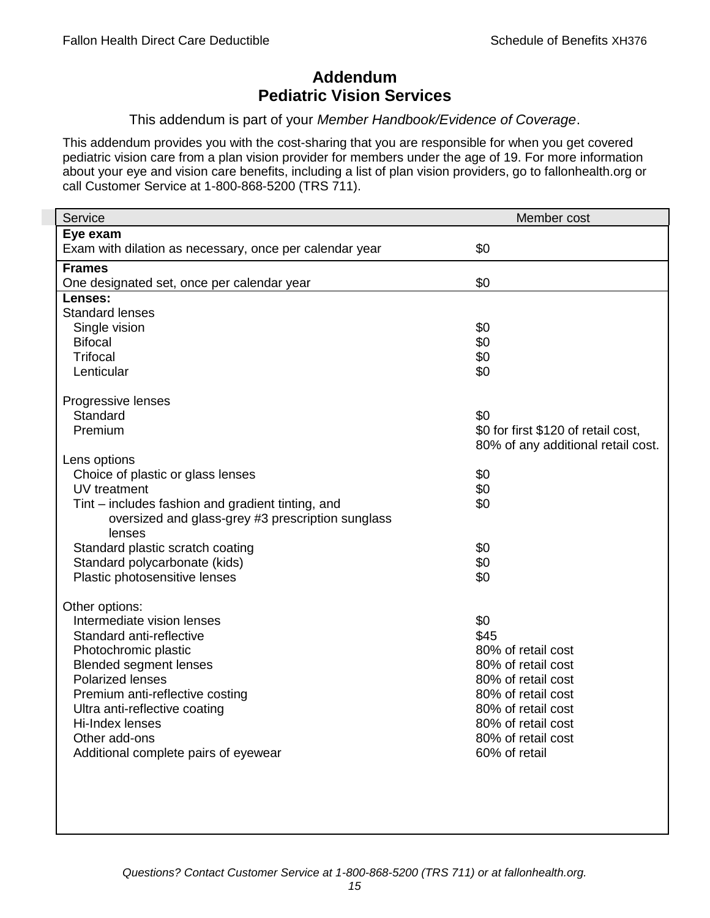# **Addendum Pediatric Vision Services**

# This addendum is part of your *Member Handbook/Evidence of Coverage*.

This addendum provides you with the cost-sharing that you are responsible for when you get covered pediatric vision care from a plan vision provider for members under the age of 19. For more information about your eye and vision care benefits, including a list of plan vision providers, go to fallonhealth.org or call Customer Service at 1-800-868-5200 (TRS 711).

| Service                                                 | Member cost                         |
|---------------------------------------------------------|-------------------------------------|
| Eye exam                                                |                                     |
| Exam with dilation as necessary, once per calendar year | \$0                                 |
| <b>Frames</b>                                           |                                     |
| One designated set, once per calendar year              | \$0                                 |
| Lenses:                                                 |                                     |
| <b>Standard lenses</b>                                  |                                     |
| Single vision                                           | \$0                                 |
| <b>Bifocal</b>                                          | \$0                                 |
| <b>Trifocal</b>                                         | \$0                                 |
| Lenticular                                              | \$0                                 |
| Progressive lenses                                      |                                     |
| Standard                                                | \$0                                 |
| Premium                                                 | \$0 for first \$120 of retail cost, |
|                                                         | 80% of any additional retail cost.  |
| Lens options                                            |                                     |
| Choice of plastic or glass lenses                       | \$0                                 |
| UV treatment                                            | \$0                                 |
| Tint – includes fashion and gradient tinting, and       | \$0                                 |
| oversized and glass-grey #3 prescription sunglass       |                                     |
| lenses                                                  |                                     |
| Standard plastic scratch coating                        | \$0                                 |
| Standard polycarbonate (kids)                           | \$0                                 |
| Plastic photosensitive lenses                           | \$0                                 |
| Other options:                                          |                                     |
| Intermediate vision lenses                              | \$0                                 |
| Standard anti-reflective                                | \$45                                |
| Photochromic plastic                                    | 80% of retail cost                  |
| <b>Blended segment lenses</b>                           | 80% of retail cost                  |
| <b>Polarized lenses</b>                                 | 80% of retail cost                  |
| Premium anti-reflective costing                         | 80% of retail cost                  |
| Ultra anti-reflective coating                           | 80% of retail cost                  |
| Hi-Index lenses                                         | 80% of retail cost                  |
| Other add-ons                                           | 80% of retail cost                  |
| Additional complete pairs of eyewear                    | 60% of retail                       |
|                                                         |                                     |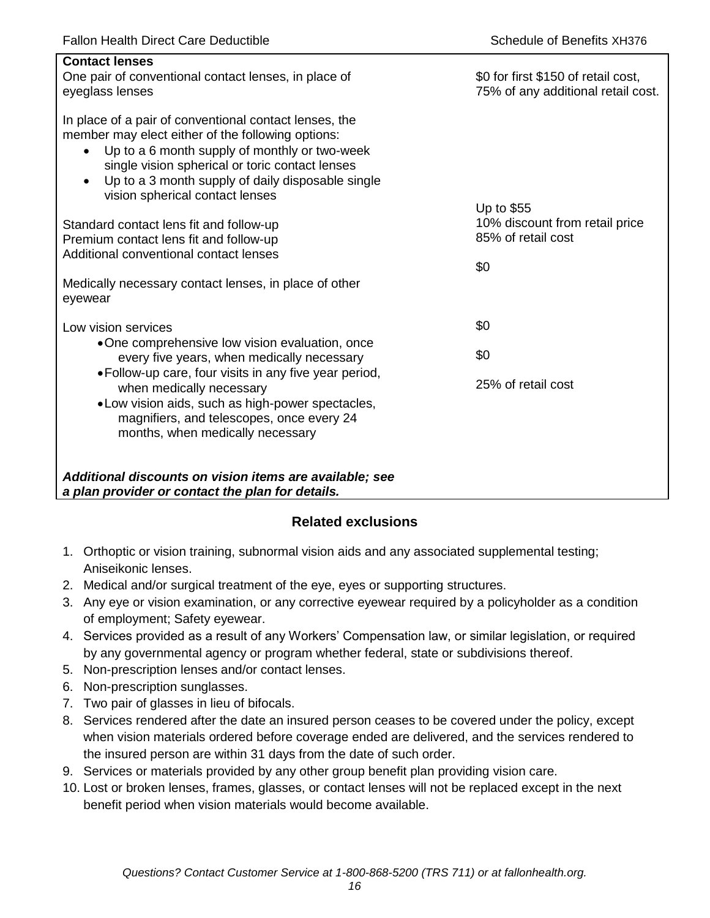| <b>Contact lenses</b><br>One pair of conventional contact lenses, in place of<br>eyeglass lenses                                                                                                                                                                                                                                  | \$0 for first \$150 of retail cost,<br>75% of any additional retail cost. |
|-----------------------------------------------------------------------------------------------------------------------------------------------------------------------------------------------------------------------------------------------------------------------------------------------------------------------------------|---------------------------------------------------------------------------|
| In place of a pair of conventional contact lenses, the<br>member may elect either of the following options:<br>Up to a 6 month supply of monthly or two-week<br>$\bullet$<br>single vision spherical or toric contact lenses<br>Up to a 3 month supply of daily disposable single<br>$\bullet$<br>vision spherical contact lenses |                                                                           |
| Standard contact lens fit and follow-up<br>Premium contact lens fit and follow-up<br>Additional conventional contact lenses                                                                                                                                                                                                       | Up to \$55<br>10% discount from retail price<br>85% of retail cost<br>\$0 |
| Medically necessary contact lenses, in place of other<br>eyewear                                                                                                                                                                                                                                                                  |                                                                           |
| Low vision services                                                                                                                                                                                                                                                                                                               | \$0                                                                       |
| •One comprehensive low vision evaluation, once<br>every five years, when medically necessary                                                                                                                                                                                                                                      | \$0                                                                       |
| • Follow-up care, four visits in any five year period,<br>when medically necessary<br>• Low vision aids, such as high-power spectacles,<br>magnifiers, and telescopes, once every 24<br>months, when medically necessary                                                                                                          | 25% of retail cost                                                        |
| Additional discounts on vision items are available; see<br>a plan provider or contact the plan for details.                                                                                                                                                                                                                       |                                                                           |

# **Related exclusions**

- 1. Orthoptic or vision training, subnormal vision aids and any associated supplemental testing; Aniseikonic lenses.
- 2. Medical and/or surgical treatment of the eye, eyes or supporting structures.
- 3. Any eye or vision examination, or any corrective eyewear required by a policyholder as a condition of employment; Safety eyewear.
- 4. Services provided as a result of any Workers' Compensation law, or similar legislation, or required by any governmental agency or program whether federal, state or subdivisions thereof.
- 5. Non-prescription lenses and/or contact lenses.
- 6. Non-prescription sunglasses.
- 7. Two pair of glasses in lieu of bifocals.
- 8. Services rendered after the date an insured person ceases to be covered under the policy, except when vision materials ordered before coverage ended are delivered, and the services rendered to the insured person are within 31 days from the date of such order.
- 9. Services or materials provided by any other group benefit plan providing vision care.
- 10. Lost or broken lenses, frames, glasses, or contact lenses will not be replaced except in the next benefit period when vision materials would become available.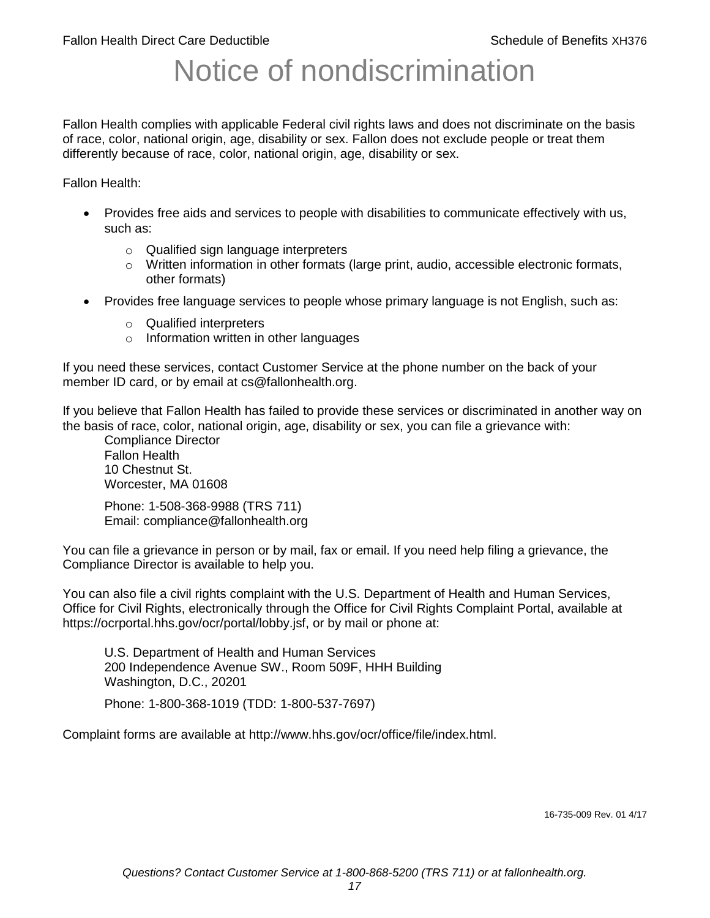# Notice of nondiscrimination

Fallon Health complies with applicable Federal civil rights laws and does not discriminate on the basis of race, color, national origin, age, disability or sex. Fallon does not exclude people or treat them differently because of race, color, national origin, age, disability or sex.

Fallon Health:

- Provides free aids and services to people with disabilities to communicate effectively with us, such as:
	- o Qualified sign language interpreters
	- $\circ$  Written information in other formats (large print, audio, accessible electronic formats, other formats)
- Provides free language services to people whose primary language is not English, such as:
	- o Qualified interpreters
	- o Information written in other languages

If you need these services, contact Customer Service at the phone number on the back of your member ID card, or by email at cs@fallonhealth.org.

If you believe that Fallon Health has failed to provide these services or discriminated in another way on the basis of race, color, national origin, age, disability or sex, you can file a grievance with:

Compliance Director Fallon Health 10 Chestnut St. Worcester, MA 01608

Phone: 1-508-368-9988 (TRS 711) Email: compliance@fallonhealth.org

You can file a grievance in person or by mail, fax or email. If you need help filing a grievance, the Compliance Director is available to help you.

You can also file a civil rights complaint with the U.S. Department of Health and Human Services, Office for Civil Rights, electronically through the Office for Civil Rights Complaint Portal, available at https://ocrportal.hhs.gov/ocr/portal/lobby.jsf, or by mail or phone at:

U.S. Department of Health and Human Services 200 Independence Avenue SW., Room 509F, HHH Building Washington, D.C., 20201

Phone: 1-800-368-1019 (TDD: 1-800-537-7697)

Complaint forms are available at http://www.hhs.gov/ocr/office/file/index.html.

16-735-009 Rev. 01 4/17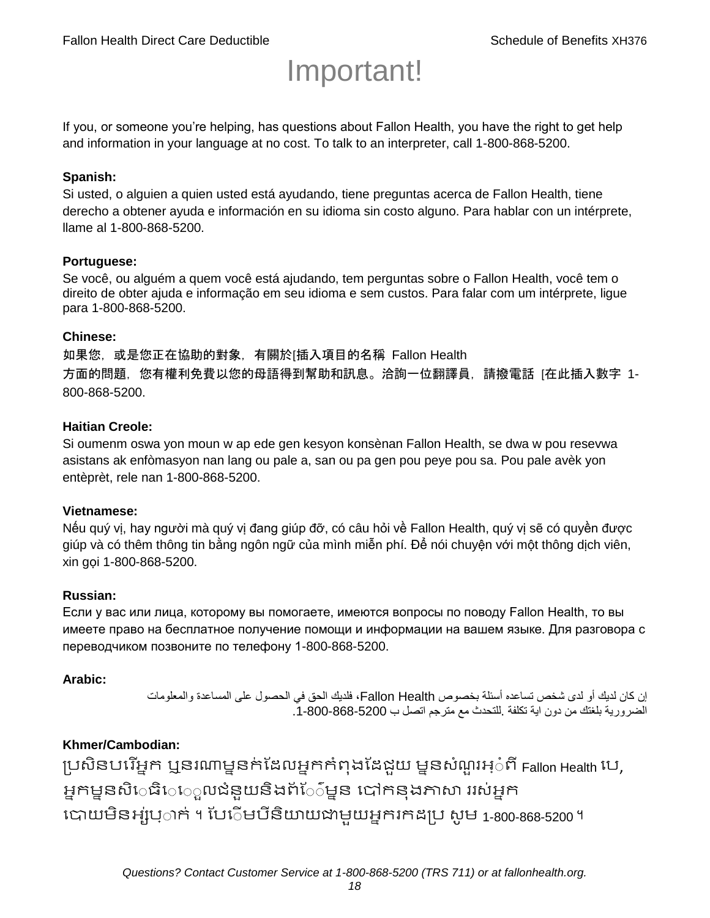# Important!

If you, or someone you're helping, has questions about Fallon Health, you have the right to get help and information in your language at no cost. To talk to an interpreter, call 1-800-868-5200.

#### **Spanish:**

Si usted, o alguien a quien usted está ayudando, tiene preguntas acerca de Fallon Health, tiene derecho a obtener ayuda e información en su idioma sin costo alguno. Para hablar con un intérprete, llame al 1-800-868-5200.

#### **Portuguese:**

Se você, ou alguém a quem você está ajudando, tem perguntas sobre o Fallon Health, você tem o direito de obter ajuda e informação em seu idioma e sem custos. Para falar com um intérprete, ligue para 1-800-868-5200.

#### **Chinese:**

如果您,或是您正在協助的對象,有關於[插入項目的名稱 Fallon Health 方面的問題, 您有權利免費以您的母語得到幫助和訊息。洽詢一位翻譯員, 請撥電話 [在此插入數字 1-800-868-5200.

#### **Haitian Creole:**

Si oumenm oswa yon moun w ap ede gen kesyon konsènan Fallon Health, se dwa w pou resevwa asistans ak enfòmasyon nan lang ou pale a, san ou pa gen pou peye pou sa. Pou pale avèk yon entèprèt, rele nan 1-800-868-5200.

#### **Vietnamese:**

Nếu quý vị, hay người mà quý vị đang giúp đỡ, có câu hỏi về Fallon Health, quý vị sẽ có quyền được giúp và có thêm thông tin bằng ngôn ngữ của mình miễn phí. Để nói chuyện với một thông dịch viên, xin gọi 1-800-868-5200.

#### **Russian:**

Если у вас или лица, которому вы помогаете, имеются вопросы по поводу Fallon Health, то вы имеете право на бесплатное получение помощи и информации на вашем языке. Для разговора с переводчиком позвоните по телефону 1-800-868-5200.

#### **Arabic:**

إن كان لديك أو لدى شخص تساعده أسئلة بخصوص Health Fallon، فلديك الحق في الحصول على المساعدة والمعلومات الضرورية بلغتك من دون اية تكلفة .للتحدث مع مترجم اتصل ب .1-800-868-5200

#### **Khmer/Cambodian:**

ប្រសិនបរើអ្នក ឬនរណាម្ននក់ដែលអ្នកកំពុងដែជយ ម្ននសំណួរអ្៎ពី Fallon Health រប, អ្នកម្ននសិេធិេ្រុលជំនួយនិងព័ែ៌ម្នន បៅកនុងភាសា ររស់អ្នក រោយម្ិនអ្ស់រ្ំ ក់ ។ ដររំម្ រនី ិយាយជាម្ួយអ្នក កែប្រ សូ ម្ 1-800-868-5200 ។